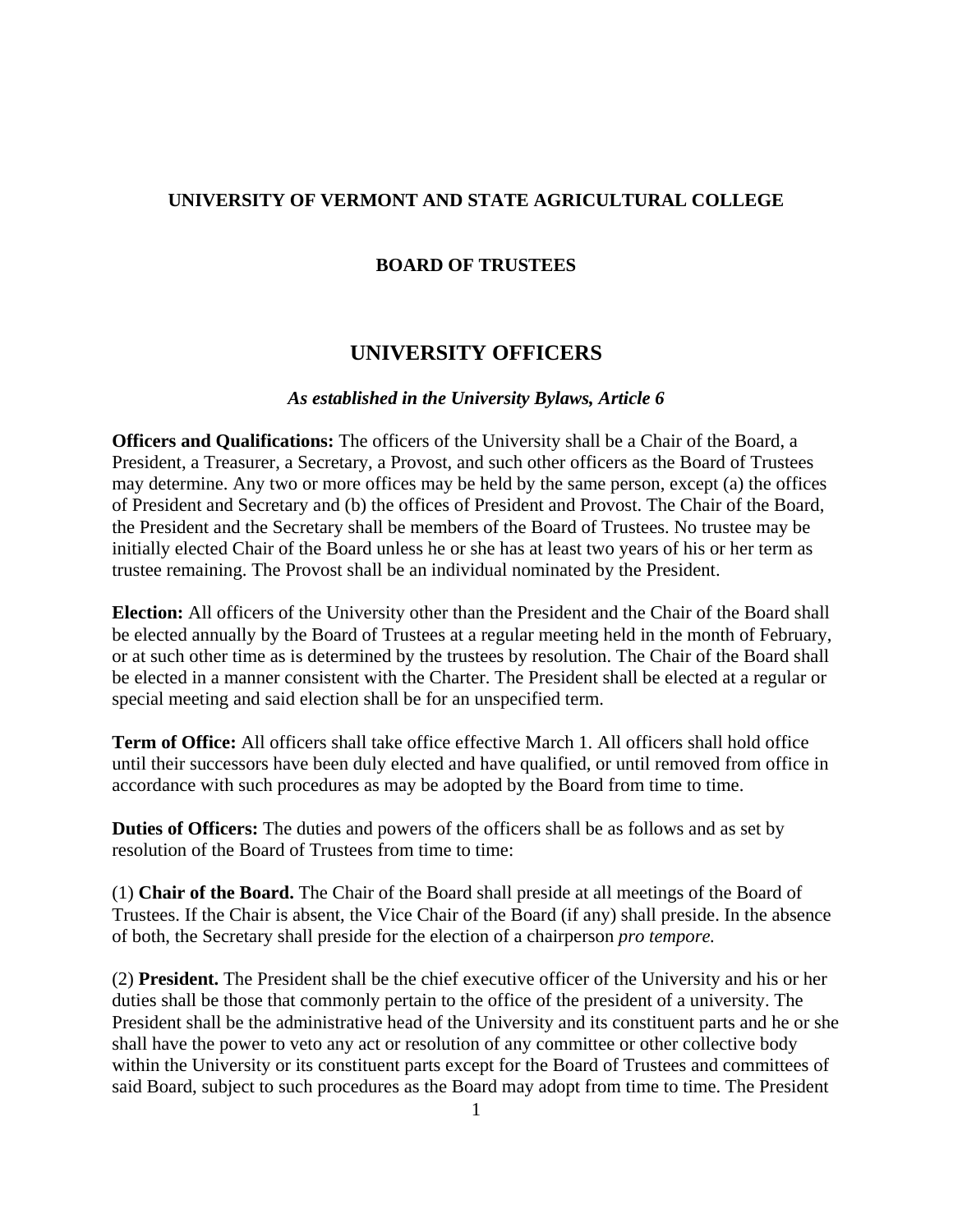## **UNIVERSITY OF VERMONT AND STATE AGRICULTURAL COLLEGE**

## **BOARD OF TRUSTEES**

## **UNIVERSITY OFFICERS**

## *As established in the University Bylaws, Article 6*

**Officers and Qualifications:** The officers of the University shall be a Chair of the Board, a President, a Treasurer, a Secretary, a Provost, and such other officers as the Board of Trustees may determine. Any two or more offices may be held by the same person, except (a) the offices of President and Secretary and (b) the offices of President and Provost. The Chair of the Board, the President and the Secretary shall be members of the Board of Trustees. No trustee may be initially elected Chair of the Board unless he or she has at least two years of his or her term as trustee remaining. The Provost shall be an individual nominated by the President.

**Election:** All officers of the University other than the President and the Chair of the Board shall be elected annually by the Board of Trustees at a regular meeting held in the month of February, or at such other time as is determined by the trustees by resolution. The Chair of the Board shall be elected in a manner consistent with the Charter. The President shall be elected at a regular or special meeting and said election shall be for an unspecified term.

**Term of Office:** All officers shall take office effective March 1. All officers shall hold office until their successors have been duly elected and have qualified, or until removed from office in accordance with such procedures as may be adopted by the Board from time to time.

**Duties of Officers:** The duties and powers of the officers shall be as follows and as set by resolution of the Board of Trustees from time to time:

(1) **Chair of the Board.** The Chair of the Board shall preside at all meetings of the Board of Trustees. If the Chair is absent, the Vice Chair of the Board (if any) shall preside. In the absence of both, the Secretary shall preside for the election of a chairperson *pro tempore.*

(2) **President.** The President shall be the chief executive officer of the University and his or her duties shall be those that commonly pertain to the office of the president of a university. The President shall be the administrative head of the University and its constituent parts and he or she shall have the power to veto any act or resolution of any committee or other collective body within the University or its constituent parts except for the Board of Trustees and committees of said Board, subject to such procedures as the Board may adopt from time to time. The President